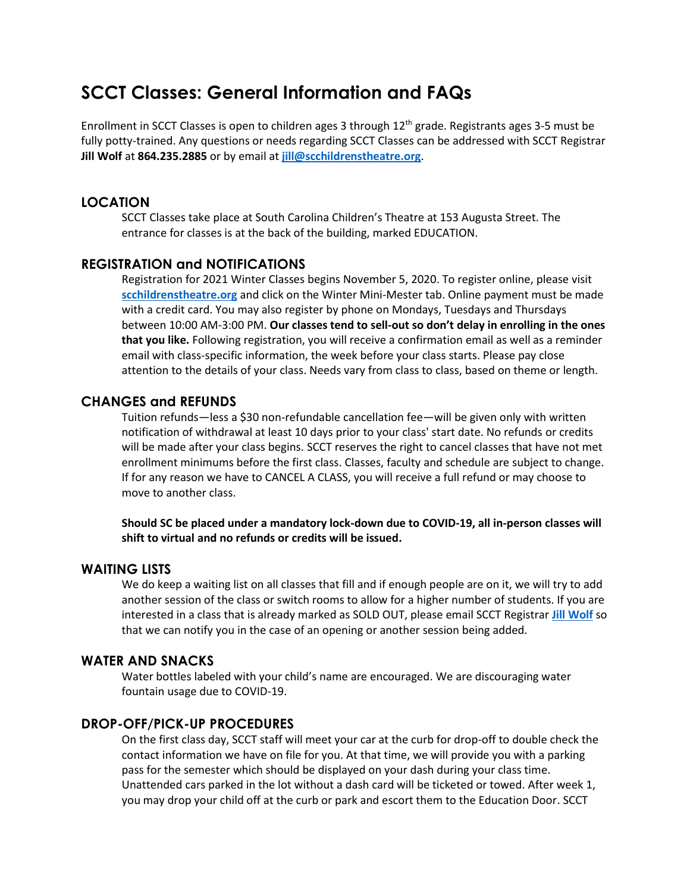# **SCCT Classes: General Information and FAQs**

Enrollment in SCCT Classes is open to children ages 3 through 12<sup>th</sup> grade. Registrants ages 3-5 must be fully potty-trained. Any questions or needs regarding SCCT Classes can be addressed with SCCT Registrar **Jill Wolf** at **864.235.2885** or by email at **[jill@scchildrenstheatre.org](mailto:jill@scchildrenstheatre.org)**.

# **LOCATION**

SCCT Classes take place at South Carolina Children's Theatre at 153 Augusta Street. The entrance for classes is at the back of the building, marked EDUCATION.

### **REGISTRATION and NOTIFICATIONS**

Registration for 2021 Winter Classes begins November 5, 2020. To register online, please visit **[scchildrenstheatre.org](http://www.scchildrenstheatre.org/)** and click on the Winter Mini-Mester tab. Online payment must be made with a credit card. You may also register by phone on Mondays, Tuesdays and Thursdays between 10:00 AM-3:00 PM. **Our classes tend to sell-out so don't delay in enrolling in the ones that you like.** Following registration, you will receive a confirmation email as well as a reminder email with class-specific information, the week before your class starts. Please pay close attention to the details of your class. Needs vary from class to class, based on theme or length.

#### **CHANGES and REFUNDS**

Tuition refunds—less a \$30 non-refundable cancellation fee—will be given only with written notification of withdrawal at least 10 days prior to your class' start date. No refunds or credits will be made after your class begins. SCCT reserves the right to cancel classes that have not met enrollment minimums before the first class. Classes, faculty and schedule are subject to change. If for any reason we have to CANCEL A CLASS, you will receive a full refund or may choose to move to another class.

**Should SC be placed under a mandatory lock-down due to COVID-19, all in-person classes will shift to virtual and no refunds or credits will be issued.** 

#### **WAITING LISTS**

We do keep a waiting list on all classes that fill and if enough people are on it, we will try to add another session of the class or switch rooms to allow for a higher number of students. If you are interested in a class that is already marked as SOLD OUT, please email SCCT Registrar **[Jill Wolf](mailto:%20jill@scchildrenstheatre.org)** so that we can notify you in the case of an opening or another session being added.

#### **WATER AND SNACKS**

Water bottles labeled with your child's name are encouraged. We are discouraging water fountain usage due to COVID-19.

## **DROP-OFF/PICK-UP PROCEDURES**

On the first class day, SCCT staff will meet your car at the curb for drop-off to double check the contact information we have on file for you. At that time, we will provide you with a parking pass for the semester which should be displayed on your dash during your class time. Unattended cars parked in the lot without a dash card will be ticketed or towed. After week 1, you may drop your child off at the curb or park and escort them to the Education Door. SCCT